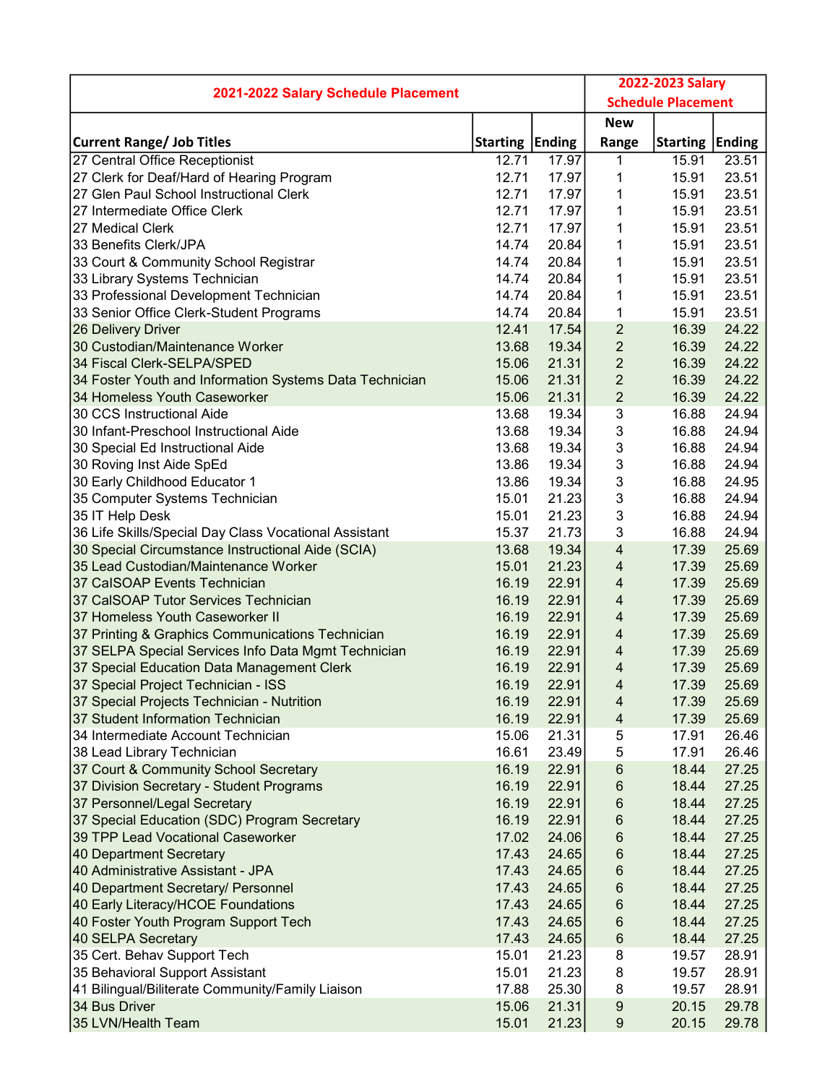| 2021-2022 Salary Schedule Placement                     |                        |       | 2022-2023 Salary          |                          |       |  |
|---------------------------------------------------------|------------------------|-------|---------------------------|--------------------------|-------|--|
|                                                         |                        |       | <b>Schedule Placement</b> |                          |       |  |
|                                                         |                        |       | <b>New</b>                |                          |       |  |
| <b>Current Range/ Job Titles</b>                        | <b>Starting Ending</b> |       | Range                     | <b>Starting   Ending</b> |       |  |
| 27 Central Office Receptionist                          | 12.71                  | 17.97 | 1                         | 15.91                    | 23.51 |  |
| 27 Clerk for Deaf/Hard of Hearing Program               | 12.71                  | 17.97 | 1                         | 15.91                    | 23.51 |  |
| 27 Glen Paul School Instructional Clerk                 | 12.71                  | 17.97 | 1                         | 15.91                    | 23.51 |  |
| 27 Intermediate Office Clerk                            | 12.71                  | 17.97 | 1                         | 15.91                    | 23.51 |  |
| 27 Medical Clerk                                        | 12.71                  | 17.97 | 1                         | 15.91                    | 23.51 |  |
| 33 Benefits Clerk/JPA                                   | 14.74                  | 20.84 | 1                         | 15.91                    | 23.51 |  |
| 33 Court & Community School Registrar                   | 14.74                  | 20.84 | 1                         | 15.91                    | 23.51 |  |
| 33 Library Systems Technician                           | 14.74                  | 20.84 | 1                         | 15.91                    | 23.51 |  |
| 33 Professional Development Technician                  | 14.74                  | 20.84 | 1                         | 15.91                    | 23.51 |  |
| 33 Senior Office Clerk-Student Programs                 | 14.74                  | 20.84 | 1                         | 15.91                    | 23.51 |  |
| 26 Delivery Driver                                      | 12.41                  | 17.54 | $\overline{2}$            | 16.39                    | 24.22 |  |
| 30 Custodian/Maintenance Worker                         | 13.68                  | 19.34 | $\overline{2}$            | 16.39                    | 24.22 |  |
| 34 Fiscal Clerk-SELPA/SPED                              | 15.06                  | 21.31 | $\overline{2}$            | 16.39                    | 24.22 |  |
| 34 Foster Youth and Information Systems Data Technician | 15.06                  | 21.31 | $\overline{2}$            | 16.39                    | 24.22 |  |
| 34 Homeless Youth Caseworker                            | 15.06                  | 21.31 | $\overline{2}$            | 16.39                    | 24.22 |  |
| 30 CCS Instructional Aide                               | 13.68                  | 19.34 | 3                         | 16.88                    | 24.94 |  |
| 30 Infant-Preschool Instructional Aide                  | 13.68                  | 19.34 | 3                         | 16.88                    | 24.94 |  |
| 30 Special Ed Instructional Aide                        | 13.68                  | 19.34 | 3                         | 16.88                    | 24.94 |  |
| 30 Roving Inst Aide SpEd                                | 13.86                  | 19.34 | 3                         | 16.88                    | 24.94 |  |
| 30 Early Childhood Educator 1                           | 13.86                  | 19.34 | 3                         | 16.88                    | 24.95 |  |
| 35 Computer Systems Technician                          | 15.01                  | 21.23 | 3                         | 16.88                    | 24.94 |  |
| 35 IT Help Desk                                         | 15.01                  | 21.23 | 3                         | 16.88                    | 24.94 |  |
| 36 Life Skills/Special Day Class Vocational Assistant   | 15.37                  | 21.73 | 3                         | 16.88                    | 24.94 |  |
| 30 Special Circumstance Instructional Aide (SCIA)       | 13.68                  | 19.34 | $\overline{\mathbf{4}}$   | 17.39                    | 25.69 |  |
| 35 Lead Custodian/Maintenance Worker                    | 15.01                  | 21.23 | $\overline{\mathbf{4}}$   | 17.39                    | 25.69 |  |
| 37 CaISOAP Events Technician                            | 16.19                  | 22.91 | $\overline{\mathbf{4}}$   | 17.39                    | 25.69 |  |
| 37 CalSOAP Tutor Services Technician                    | 16.19                  | 22.91 | $\overline{\mathbf{4}}$   | 17.39                    | 25.69 |  |
| 37 Homeless Youth Caseworker II                         | 16.19                  | 22.91 | $\overline{\mathbf{4}}$   | 17.39                    | 25.69 |  |
| 37 Printing & Graphics Communications Technician        | 16.19                  | 22.91 | $\overline{\mathbf{4}}$   | 17.39                    | 25.69 |  |
| 37 SELPA Special Services Info Data Mgmt Technician     | 16.19                  | 22.91 | $\overline{\mathbf{4}}$   | 17.39                    | 25.69 |  |
| 37 Special Education Data Management Clerk              | 16.19                  | 22.91 | 4                         | 17.39                    | 25.69 |  |
| 37 Special Project Technician - ISS                     | 16.19                  | 22.91 | 4                         | 17.39                    | 25.69 |  |
| 37 Special Projects Technician - Nutrition              | 16.19                  | 22.91 | 4                         | 17.39                    | 25.69 |  |
| 37 Student Information Technician                       | 16.19                  | 22.91 | $\overline{4}$            | 17.39                    | 25.69 |  |
| 34 Intermediate Account Technician                      | 15.06                  | 21.31 | 5                         | 17.91                    | 26.46 |  |
| 38 Lead Library Technician                              | 16.61                  | 23.49 | 5                         | 17.91                    | 26.46 |  |
| 37 Court & Community School Secretary                   | 16.19                  | 22.91 | 6                         | 18.44                    | 27.25 |  |
| 37 Division Secretary - Student Programs                | 16.19                  | 22.91 | 6                         | 18.44                    | 27.25 |  |
| 37 Personnel/Legal Secretary                            | 16.19                  | 22.91 | 6                         | 18.44                    | 27.25 |  |
| 37 Special Education (SDC) Program Secretary            | 16.19                  | 22.91 | 6                         | 18.44                    | 27.25 |  |
| 39 TPP Lead Vocational Caseworker                       | 17.02                  | 24.06 | 6                         | 18.44                    | 27.25 |  |
| 40 Department Secretary                                 | 17.43                  | 24.65 | 6                         | 18.44                    | 27.25 |  |
| 40 Administrative Assistant - JPA                       | 17.43                  | 24.65 | 6                         | 18.44                    | 27.25 |  |
| 40 Department Secretary/ Personnel                      | 17.43                  | 24.65 | 6                         | 18.44                    | 27.25 |  |
| 40 Early Literacy/HCOE Foundations                      | 17.43                  | 24.65 | 6                         | 18.44                    | 27.25 |  |
| 40 Foster Youth Program Support Tech                    | 17.43                  | 24.65 | 6                         | 18.44                    | 27.25 |  |
| 40 SELPA Secretary                                      | 17.43                  | 24.65 | $\,6$                     | 18.44                    | 27.25 |  |
| 35 Cert. Behav Support Tech                             | 15.01                  | 21.23 | 8                         | 19.57                    | 28.91 |  |
| 35 Behavioral Support Assistant                         | 15.01                  | 21.23 | 8                         | 19.57                    | 28.91 |  |
| 41 Bilingual/Biliterate Community/Family Liaison        | 17.88                  | 25.30 | 8                         | 19.57                    | 28.91 |  |
| 34 Bus Driver                                           | 15.06                  | 21.31 | $\boldsymbol{9}$          | 20.15                    | 29.78 |  |
| 35 LVN/Health Team                                      | 15.01                  | 21.23 | 9                         | 20.15                    | 29.78 |  |